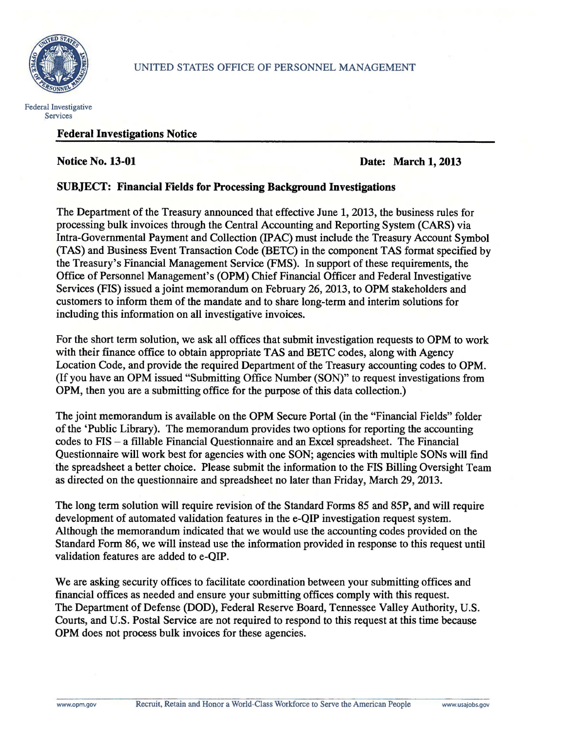



## Federal Investigations Notice

## **Notice No. 13-01 Date: March 1, 2013**

## SUBJECT: Financial Fields for Processing Background Investigations

The Department of the Treasury announced that effective June 1, 2013, the business rules for processing bulk invoices through the Central Accounting and Reporting System (CARS) via Intra-Governmental Payment and Collection (IP AC) must include the Treasury Account Symbol (TAS) and Business Event Transaction Code (BETC) in the component TAS format specified by the Treasury's Financial Management Service (FMS). In support of these requirements, the Office of Personnel Management's (OPM) Chief Financial Officer and Federal Investigative Services (FIS) issued a joint memorandum on February 26, 2013, to OPM stakeholders and customers to inform them of the mandate and to share long-term and interim solutions for including this information on all investigative invoices.

For the short term solution, we ask all offices that submit investigation requests to OPM to work with their finance office to obtain appropriate TAS and BETC codes, along with Agency Location Code, and provide the required Department of the Treasury accounting codes to OPM. (If you have an OPM issued "SUbmitting Office Number (SON)" to request investigations from OPM, then you are a submitting office for the purpose of this data collection.)

The joint memorandum is available on the OPM Secure Portal (in the "Financial Fields" folder of the 'Public Library). The memorandum provides two options for reporting the accounting codes to FIS - a fillable Financial Questionnaire and an Excel spreadsheet. The Financial Questionnaire will work best for agencies with one SON; agencies with multiple SONs will find the spreadsheet a better choice. Please submit the information to the FIS Billing Oversight Team as directed on the questionnaire and spreadsheet no later than Friday, March 29,2013.

The long term solution will require revision of the Standard Forms 85 and 85P, and will require development of automated validation features in the e-QIP investigation request system. Although the memorandum indicated that we would use the accounting codes provided on the Standard Form 86, we will instead use the information provided in response to this request until validation features are added to e-QIP.

We are asking security offices to facilitate coordination between your submitting offices and financial offices as needed and ensure your submitting offices comply with this request. The Department of Defense (DOD), Federal Reserve Board, Tennessee Valley Authority, U.S. Courts, and U.S. Postal Service are not required to respond to this request at this time because OPM does not process bulk invoices for these agencies.